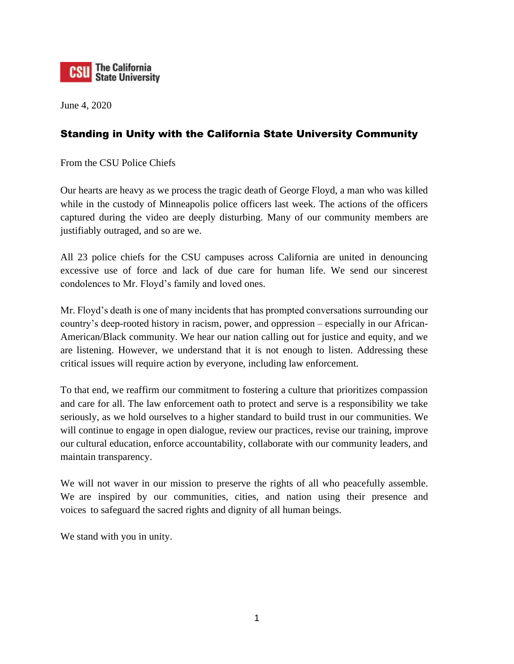

June 4, 2020

## Standing in Unity with the California State University Community

From the CSU Police Chiefs

Our hearts are heavy as we process the tragic death of George Floyd, a man who was killed while in the custody of Minneapolis police officers last week. The actions of the officers captured during the video are deeply disturbing. Many of our community members are justifiably outraged, and so are we.

All 23 police chiefs for the CSU campuses across California are united in denouncing excessive use of force and lack of due care for human life. We send our sincerest condolences to Mr. Floyd's family and loved ones.

Mr. Floyd's death is one of many incidents that has prompted conversations surrounding our country's deep-rooted history in racism, power, and oppression – especially in our African-American/Black community. We hear our nation calling out for justice and equity, and we are listening. However, we understand that it is not enough to listen. Addressing these critical issues will require action by everyone, including law enforcement.

To that end, we reaffirm our commitment to fostering a culture that prioritizes compassion and care for all. The law enforcement oath to protect and serve is a responsibility we take seriously, as we hold ourselves to a higher standard to build trust in our communities. We will continue to engage in open dialogue, review our practices, revise our training, improve our cultural education, enforce accountability, collaborate with our community leaders, and maintain transparency.

We will not waver in our mission to preserve the rights of all who peacefully assemble. We are inspired by our communities, cities, and nation using their presence and voices to safeguard the sacred rights and dignity of all human beings.

We stand with you in unity.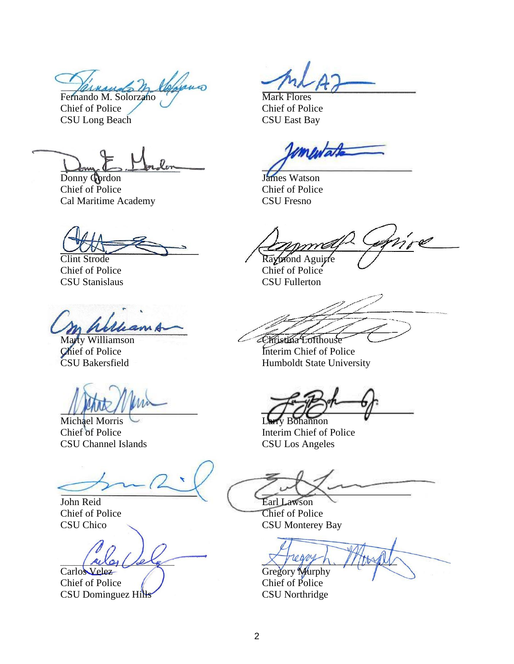under M Fernando M. Solorzano

Chief of Police CSU Long Beach

Donny Gordon Chief of Police Cal Maritime Academy

Clint Strode Chief of Police CSU Stanislaus

Marty Williamson Chief of Police CSU Bakersfield

Michael Morris Chief of Police CSU Channel Islands

John Reid Chief of Police CSU Chico

Carlos Velez

Chief of Police CSU Dominguez Hills

Mark Flores Chief of Police CSU East Bay

mentate

James Watson Chief of Police CSU Fresno

mmá Raymond Aguirre

Chief of Police CSU Fullerton

Christina Lofthouse

Interim Chief of Police Humboldt State University

v Bohannon Interim Chief of Police CSU Los Angeles

Earl Lawson

Chief of Police CSU Monterey Bay

Gregory Murphy

Chief of Police CSU Northridge